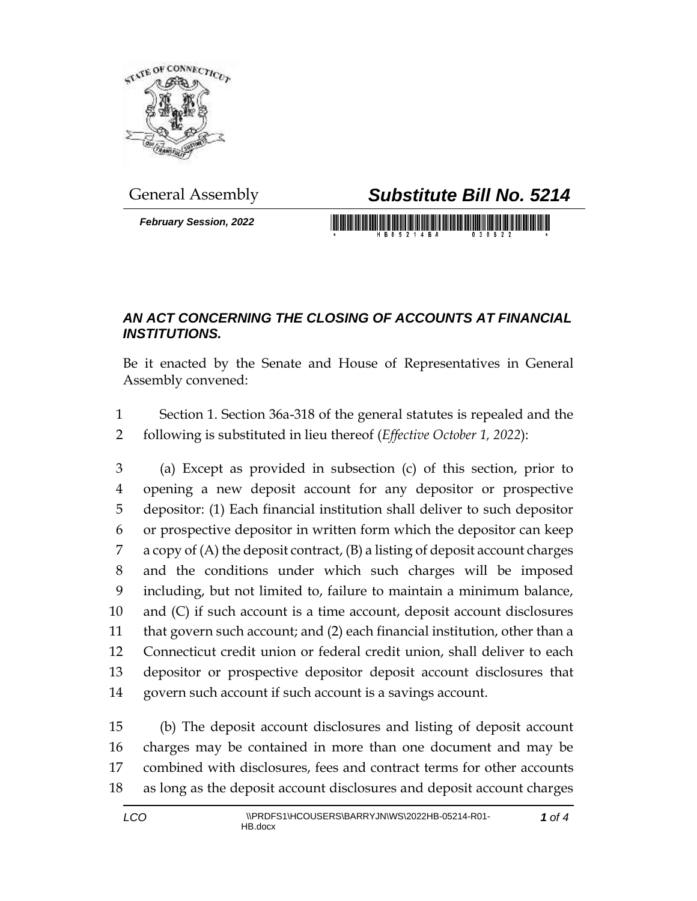

*February Session, 2022*

## General Assembly *Substitute Bill No. 5214*

## *AN ACT CONCERNING THE CLOSING OF ACCOUNTS AT FINANCIAL INSTITUTIONS.*

Be it enacted by the Senate and House of Representatives in General Assembly convened:

 Section 1. Section 36a-318 of the general statutes is repealed and the following is substituted in lieu thereof (*Effective October 1, 2022*):

 (a) Except as provided in subsection (c) of this section, prior to opening a new deposit account for any depositor or prospective depositor: (1) Each financial institution shall deliver to such depositor or prospective depositor in written form which the depositor can keep a copy of (A) the deposit contract, (B) a listing of deposit account charges and the conditions under which such charges will be imposed including, but not limited to, failure to maintain a minimum balance, and (C) if such account is a time account, deposit account disclosures that govern such account; and (2) each financial institution, other than a Connecticut credit union or federal credit union, shall deliver to each depositor or prospective depositor deposit account disclosures that govern such account if such account is a savings account.

 (b) The deposit account disclosures and listing of deposit account charges may be contained in more than one document and may be combined with disclosures, fees and contract terms for other accounts as long as the deposit account disclosures and deposit account charges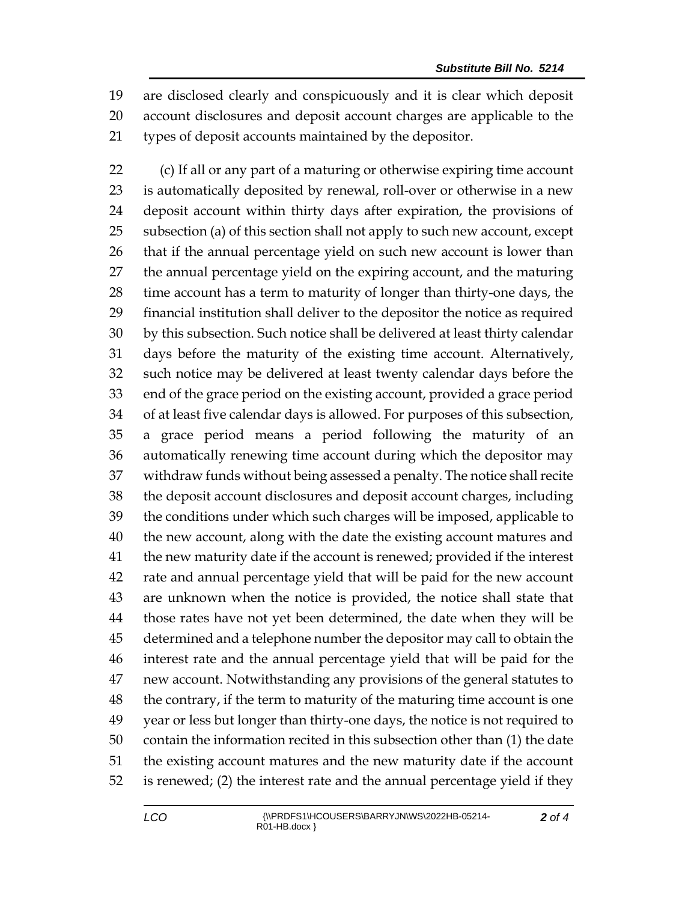are disclosed clearly and conspicuously and it is clear which deposit account disclosures and deposit account charges are applicable to the types of deposit accounts maintained by the depositor.

 (c) If all or any part of a maturing or otherwise expiring time account is automatically deposited by renewal, roll-over or otherwise in a new deposit account within thirty days after expiration, the provisions of subsection (a) of this section shall not apply to such new account, except that if the annual percentage yield on such new account is lower than the annual percentage yield on the expiring account, and the maturing time account has a term to maturity of longer than thirty-one days, the financial institution shall deliver to the depositor the notice as required by this subsection. Such notice shall be delivered at least thirty calendar days before the maturity of the existing time account. Alternatively, such notice may be delivered at least twenty calendar days before the end of the grace period on the existing account, provided a grace period of at least five calendar days is allowed. For purposes of this subsection, a grace period means a period following the maturity of an automatically renewing time account during which the depositor may withdraw funds without being assessed a penalty. The notice shall recite the deposit account disclosures and deposit account charges, including the conditions under which such charges will be imposed, applicable to the new account, along with the date the existing account matures and the new maturity date if the account is renewed; provided if the interest rate and annual percentage yield that will be paid for the new account are unknown when the notice is provided, the notice shall state that those rates have not yet been determined, the date when they will be determined and a telephone number the depositor may call to obtain the interest rate and the annual percentage yield that will be paid for the new account. Notwithstanding any provisions of the general statutes to the contrary, if the term to maturity of the maturing time account is one year or less but longer than thirty-one days, the notice is not required to contain the information recited in this subsection other than (1) the date the existing account matures and the new maturity date if the account is renewed; (2) the interest rate and the annual percentage yield if they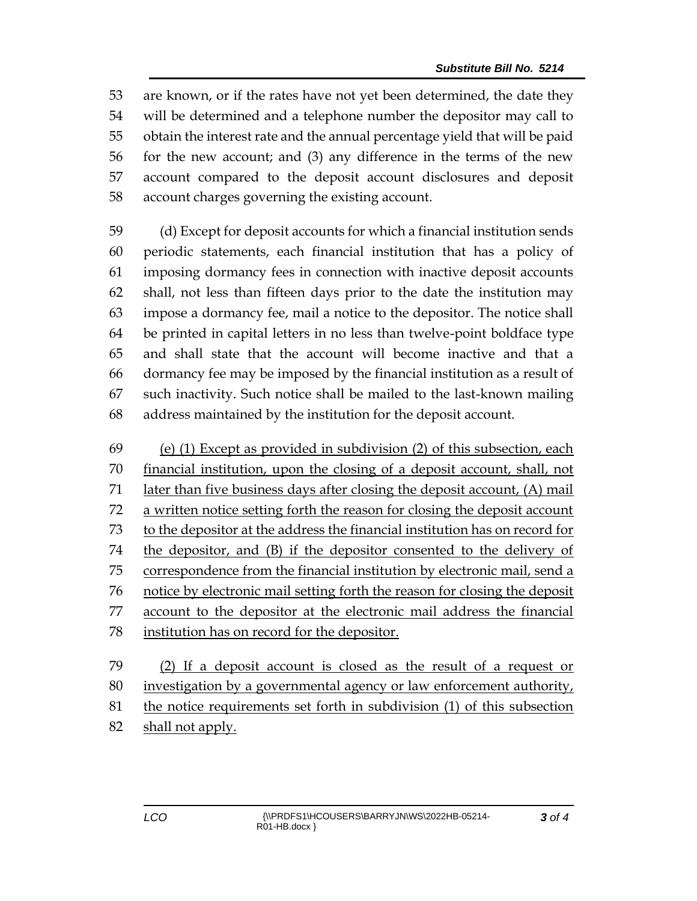are known, or if the rates have not yet been determined, the date they will be determined and a telephone number the depositor may call to obtain the interest rate and the annual percentage yield that will be paid for the new account; and (3) any difference in the terms of the new account compared to the deposit account disclosures and deposit account charges governing the existing account.

 (d) Except for deposit accounts for which a financial institution sends periodic statements, each financial institution that has a policy of imposing dormancy fees in connection with inactive deposit accounts shall, not less than fifteen days prior to the date the institution may impose a dormancy fee, mail a notice to the depositor. The notice shall be printed in capital letters in no less than twelve-point boldface type and shall state that the account will become inactive and that a dormancy fee may be imposed by the financial institution as a result of such inactivity. Such notice shall be mailed to the last-known mailing address maintained by the institution for the deposit account.

 (e) (1) Except as provided in subdivision (2) of this subsection, each financial institution, upon the closing of a deposit account, shall, not later than five business days after closing the deposit account, (A) mail a written notice setting forth the reason for closing the deposit account to the depositor at the address the financial institution has on record for the depositor, and (B) if the depositor consented to the delivery of correspondence from the financial institution by electronic mail, send a notice by electronic mail setting forth the reason for closing the deposit account to the depositor at the electronic mail address the financial institution has on record for the depositor.

 (2) If a deposit account is closed as the result of a request or investigation by a governmental agency or law enforcement authority, the notice requirements set forth in subdivision (1) of this subsection shall not apply.